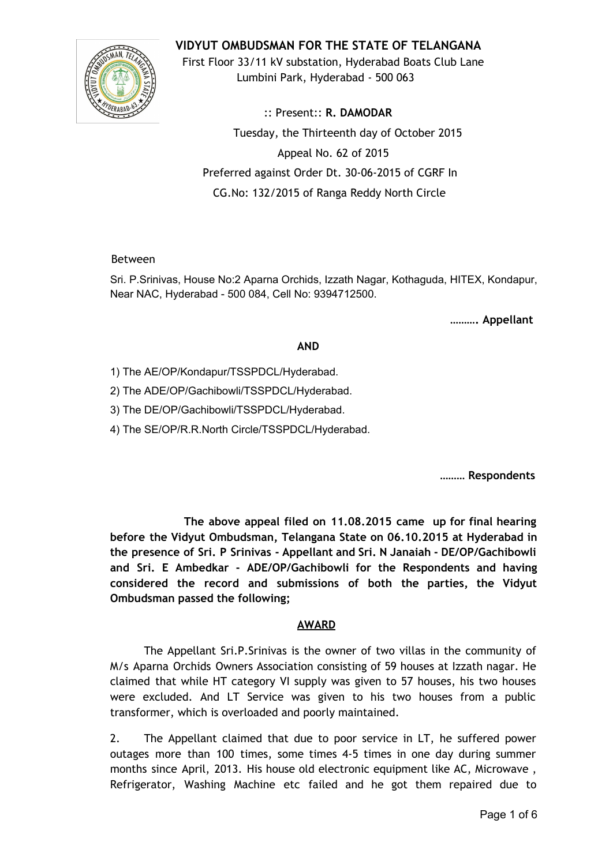

**VIDYUT OMBUDSMAN FOR THE STATE OF TELANGANA**

First Floor 33/11 kV substation, Hyderabad Boats Club Lane Lumbini Park, Hyderabad - 500 063

:: Present:: **R. DAMODAR** Tuesday, the Thirteenth day of October 2015 Appeal No. 62 of 2015 Preferred against Order Dt. 30-06-2015 of CGRF In CG.No: 132/2015 of Ranga Reddy North Circle

### Between

Sri. P.Srinivas, House No:2 Aparna Orchids, Izzath Nagar, Kothaguda, HITEX, Kondapur, Near NAC, Hyderabad - 500 084, Cell No: 9394712500.

**………. Appellant**

## **AND**

1) The AE/OP/Kondapur/TSSPDCL/Hyderabad.

2) The ADE/OP/Gachibowli/TSSPDCL/Hyderabad.

3) The DE/OP/Gachibowli/TSSPDCL/Hyderabad.

4) The SE/OP/R.R.North Circle/TSSPDCL/Hyderabad.

**……… Respondents**

**The above appeal filed on 11.08.2015 came up for final hearing before the Vidyut Ombudsman, Telangana State on 06.10.2015 at Hyderabad in the presence of Sri. P Srinivas - Appellant and Sri. N Janaiah - DE/OP/Gachibowli and Sri. E Ambedkar - ADE/OP/Gachibowli for the Respondents and having considered the record and submissions of both the parties, the Vidyut Ombudsman passed the following;**

# **AWARD**

The Appellant Sri.P.Srinivas is the owner of two villas in the community of M/s Aparna Orchids Owners Association consisting of 59 houses at Izzath nagar. He claimed that while HT category VI supply was given to 57 houses, his two houses were excluded. And LT Service was given to his two houses from a public transformer, which is overloaded and poorly maintained.

2. The Appellant claimed that due to poor service in LT, he suffered power outages more than 100 times, some times 4-5 times in one day during summer months since April, 2013. His house old electronic equipment like AC, Microwave , Refrigerator, Washing Machine etc failed and he got them repaired due to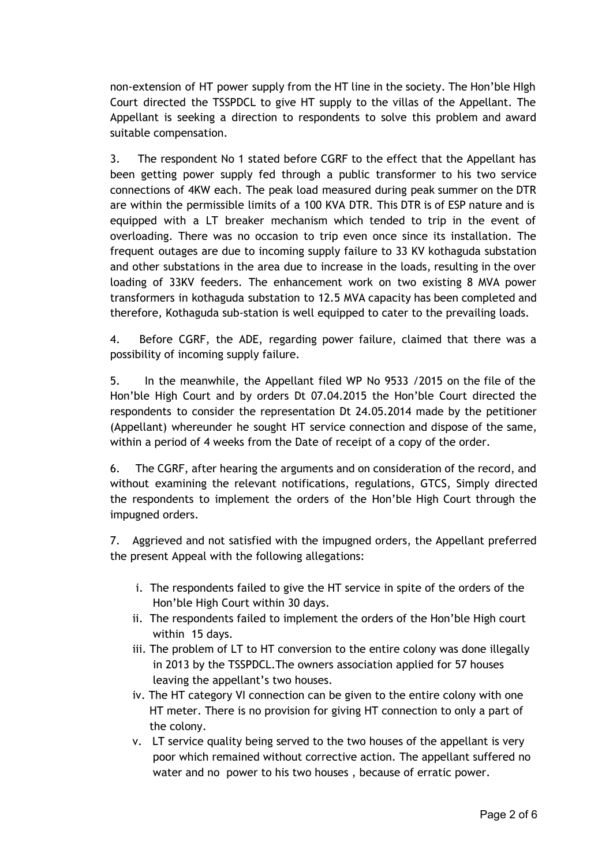non-extension of HT power supply from the HT line in the society. The Hon'ble HIgh Court directed the TSSPDCL to give HT supply to the villas of the Appellant. The Appellant is seeking a direction to respondents to solve this problem and award suitable compensation.

3. The respondent No 1 stated before CGRF to the effect that the Appellant has been getting power supply fed through a public transformer to his two service connections of 4KW each. The peak load measured during peak summer on the DTR are within the permissible limits of a 100 KVA DTR. This DTR is of ESP nature and is equipped with a LT breaker mechanism which tended to trip in the event of overloading. There was no occasion to trip even once since its installation. The frequent outages are due to incoming supply failure to 33 KV kothaguda substation and other substations in the area due to increase in the loads, resulting in the over loading of 33KV feeders. The enhancement work on two existing 8 MVA power transformers in kothaguda substation to 12.5 MVA capacity has been completed and therefore, Kothaguda sub-station is well equipped to cater to the prevailing loads.

4. Before CGRF, the ADE, regarding power failure, claimed that there was a possibility of incoming supply failure.

5. In the meanwhile, the Appellant filed WP No 9533 /2015 on the file of the Hon'ble High Court and by orders Dt 07.04.2015 the Hon'ble Court directed the respondents to consider the representation Dt 24.05.2014 made by the petitioner (Appellant) whereunder he sought HT service connection and dispose of the same, within a period of 4 weeks from the Date of receipt of a copy of the order.

6. The CGRF, after hearing the arguments and on consideration of the record, and without examining the relevant notifications, regulations, GTCS, Simply directed the respondents to implement the orders of the Hon'ble High Court through the impugned orders.

7. Aggrieved and not satisfied with the impugned orders, the Appellant preferred the present Appeal with the following allegations:

- i. The respondents failed to give the HT service in spite of the orders of the Hon'ble High Court within 30 days.
- ii. The respondents failed to implement the orders of the Hon'ble High court within 15 days.
- iii. The problem of LT to HT conversion to the entire colony was done illegally in 2013 by the TSSPDCL.The owners association applied for 57 houses leaving the appellant's two houses.
- iv. The HT category VI connection can be given to the entire colony with one HT meter. There is no provision for giving HT connection to only a part of the colony.
- v. LT service quality being served to the two houses of the appellant is very poor which remained without corrective action. The appellant suffered no water and no power to his two houses , because of erratic power.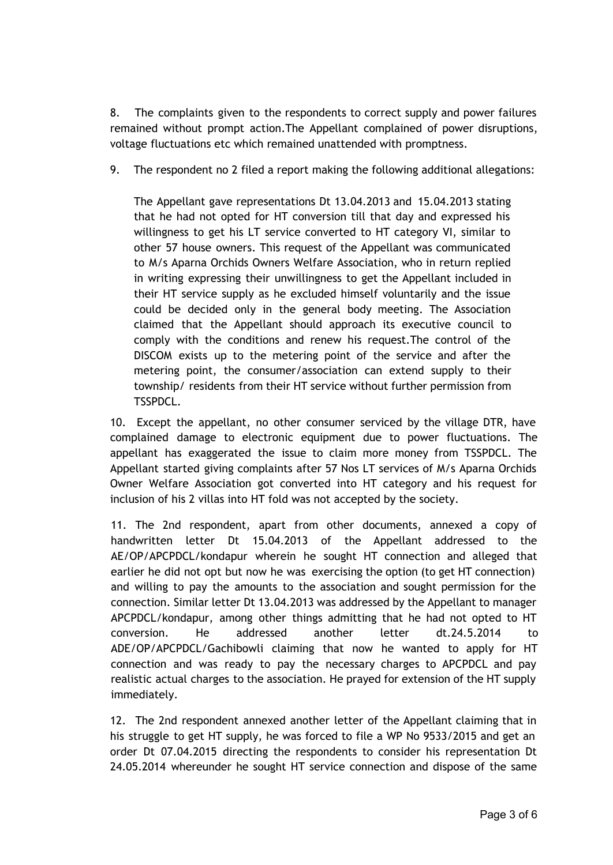8. The complaints given to the respondents to correct supply and power failures remained without prompt action.The Appellant complained of power disruptions, voltage fluctuations etc which remained unattended with promptness.

9. The respondent no 2 filed a report making the following additional allegations:

The Appellant gave representations Dt 13.04.2013 and 15.04.2013 stating that he had not opted for HT conversion till that day and expressed his willingness to get his LT service converted to HT category VI, similar to other 57 house owners. This request of the Appellant was communicated to M/s Aparna Orchids Owners Welfare Association, who in return replied in writing expressing their unwillingness to get the Appellant included in their HT service supply as he excluded himself voluntarily and the issue could be decided only in the general body meeting. The Association claimed that the Appellant should approach its executive council to comply with the conditions and renew his request.The control of the DISCOM exists up to the metering point of the service and after the metering point, the consumer/association can extend supply to their township/ residents from their HT service without further permission from TSSPDCL.

10. Except the appellant, no other consumer serviced by the village DTR, have complained damage to electronic equipment due to power fluctuations. The appellant has exaggerated the issue to claim more money from TSSPDCL. The Appellant started giving complaints after 57 Nos LT services of M/s Aparna Orchids Owner Welfare Association got converted into HT category and his request for inclusion of his 2 villas into HT fold was not accepted by the society.

11. The 2nd respondent, apart from other documents, annexed a copy of handwritten letter Dt 15.04.2013 of the Appellant addressed to the AE/OP/APCPDCL/kondapur wherein he sought HT connection and alleged that earlier he did not opt but now he was exercising the option (to get HT connection) and willing to pay the amounts to the association and sought permission for the connection. Similar letter Dt 13.04.2013 was addressed by the Appellant to manager APCPDCL/kondapur, among other things admitting that he had not opted to HT conversion. He addressed another letter dt.24.5.2014 to ADE/OP/APCPDCL/Gachibowli claiming that now he wanted to apply for HT connection and was ready to pay the necessary charges to APCPDCL and pay realistic actual charges to the association. He prayed for extension of the HT supply immediately.

12. The 2nd respondent annexed another letter of the Appellant claiming that in his struggle to get HT supply, he was forced to file a WP No 9533/2015 and get an order Dt 07.04.2015 directing the respondents to consider his representation Dt 24.05.2014 whereunder he sought HT service connection and dispose of the same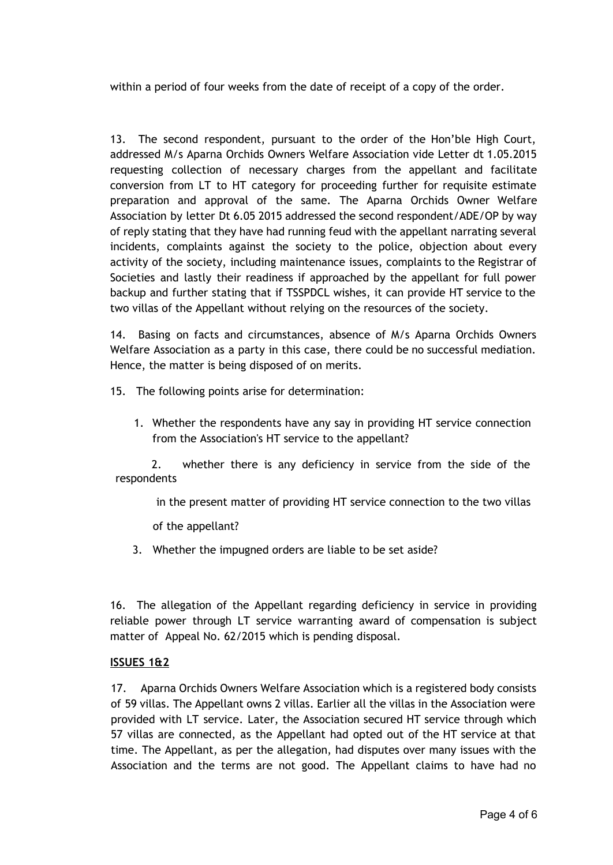within a period of four weeks from the date of receipt of a copy of the order.

13. The second respondent, pursuant to the order of the Hon'ble High Court, addressed M/s Aparna Orchids Owners Welfare Association vide Letter dt 1.05.2015 requesting collection of necessary charges from the appellant and facilitate conversion from LT to HT category for proceeding further for requisite estimate preparation and approval of the same. The Aparna Orchids Owner Welfare Association by letter Dt 6.05 2015 addressed the second respondent/ADE/OP by way of reply stating that they have had running feud with the appellant narrating several incidents, complaints against the society to the police, objection about every activity of the society, including maintenance issues, complaints to the Registrar of Societies and lastly their readiness if approached by the appellant for full power backup and further stating that if TSSPDCL wishes, it can provide HT service to the two villas of the Appellant without relying on the resources of the society.

14. Basing on facts and circumstances, absence of M/s Aparna Orchids Owners Welfare Association as a party in this case, there could be no successful mediation. Hence, the matter is being disposed of on merits.

- 15. The following points arise for determination:
	- 1. Whether the respondents have any say in providing HT service connection from the Association's HT service to the appellant?

2. whether there is any deficiency in service from the side of the respondents

in the present matter of providing HT service connection to the two villas

of the appellant?

3. Whether the impugned orders are liable to be set aside?

16. The allegation of the Appellant regarding deficiency in service in providing reliable power through LT service warranting award of compensation is subject matter of Appeal No. 62/2015 which is pending disposal.

### **ISSUES 1&2**

17. Aparna Orchids Owners Welfare Association which is a registered body consists of 59 villas. The Appellant owns 2 villas. Earlier all the villas in the Association were provided with LT service. Later, the Association secured HT service through which 57 villas are connected, as the Appellant had opted out of the HT service at that time. The Appellant, as per the allegation, had disputes over many issues with the Association and the terms are not good. The Appellant claims to have had no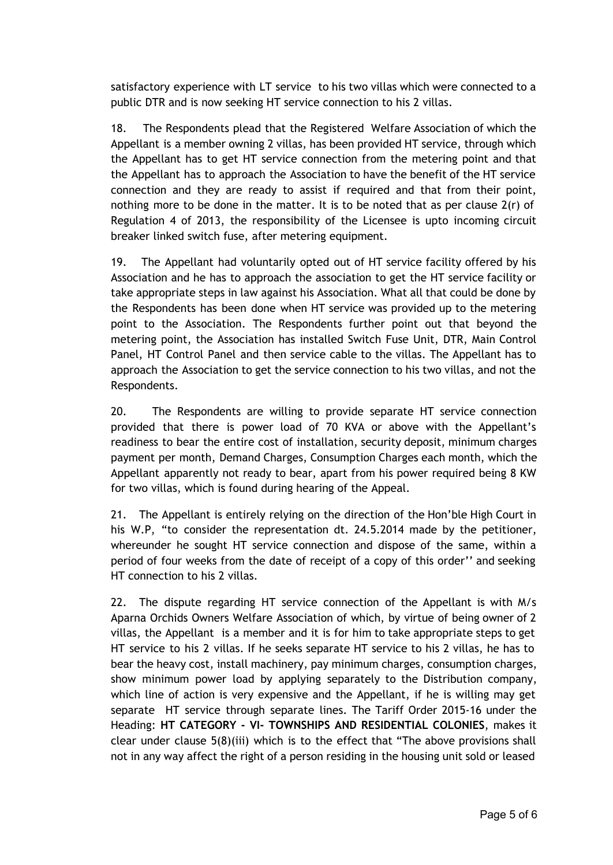satisfactory experience with LT service to his two villas which were connected to a public DTR and is now seeking HT service connection to his 2 villas.

18. The Respondents plead that the Registered Welfare Association of which the Appellant is a member owning 2 villas, has been provided HT service, through which the Appellant has to get HT service connection from the metering point and that the Appellant has to approach the Association to have the benefit of the HT service connection and they are ready to assist if required and that from their point, nothing more to be done in the matter. It is to be noted that as per clause 2(r) of Regulation 4 of 2013, the responsibility of the Licensee is upto incoming circuit breaker linked switch fuse, after metering equipment.

19. The Appellant had voluntarily opted out of HT service facility offered by his Association and he has to approach the association to get the HT service facility or take appropriate steps in law against his Association. What all that could be done by the Respondents has been done when HT service was provided up to the metering point to the Association. The Respondents further point out that beyond the metering point, the Association has installed Switch Fuse Unit, DTR, Main Control Panel, HT Control Panel and then service cable to the villas. The Appellant has to approach the Association to get the service connection to his two villas, and not the Respondents.

20. The Respondents are willing to provide separate HT service connection provided that there is power load of 70 KVA or above with the Appellant's readiness to bear the entire cost of installation, security deposit, minimum charges payment per month, Demand Charges, Consumption Charges each month, which the Appellant apparently not ready to bear, apart from his power required being 8 KW for two villas, which is found during hearing of the Appeal.

21. The Appellant is entirely relying on the direction of the Hon'ble High Court in his W.P, "to consider the representation dt. 24.5.2014 made by the petitioner, whereunder he sought HT service connection and dispose of the same, within a period of four weeks from the date of receipt of a copy of this order'' and seeking HT connection to his 2 villas.

22. The dispute regarding HT service connection of the Appellant is with M/s Aparna Orchids Owners Welfare Association of which, by virtue of being owner of 2 villas, the Appellant is a member and it is for him to take appropriate steps to get HT service to his 2 villas. If he seeks separate HT service to his 2 villas, he has to bear the heavy cost, install machinery, pay minimum charges, consumption charges, show minimum power load by applying separately to the Distribution company, which line of action is very expensive and the Appellant, if he is willing may get separate HT service through separate lines. The Tariff Order 2015-16 under the Heading: **HT CATEGORY - VI- TOWNSHIPS AND RESIDENTIAL COLONIES**, makes it clear under clause 5(8)(iii) which is to the effect that "The above provisions shall not in any way affect the right of a person residing in the housing unit sold or leased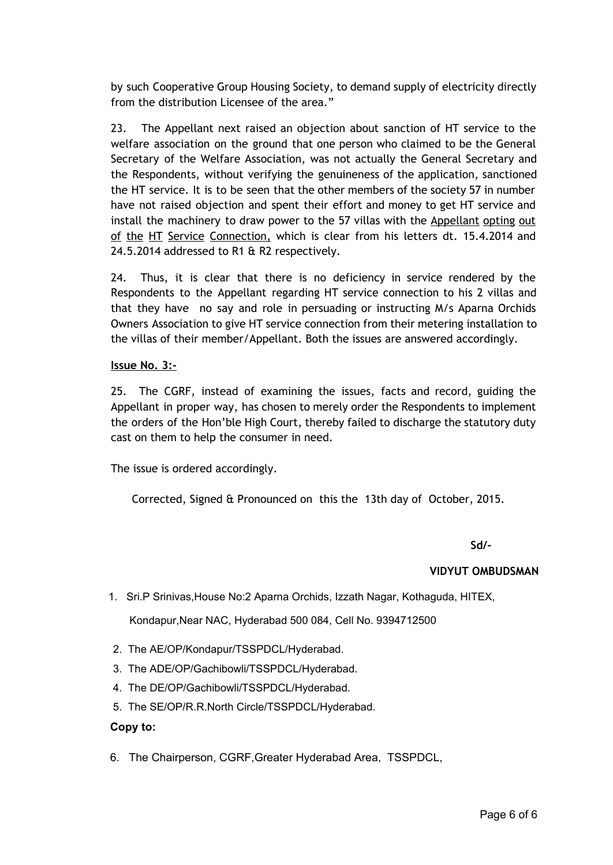by such Cooperative Group Housing Society, to demand supply of electricity directly from the distribution Licensee of the area."

23. The Appellant next raised an objection about sanction of HT service to the welfare association on the ground that one person who claimed to be the General Secretary of the Welfare Association, was not actually the General Secretary and the Respondents, without verifying the genuineness of the application, sanctioned the HT service. It is to be seen that the other members of the society 57 in number have not raised objection and spent their effort and money to get HT service and install the machinery to draw power to the 57 villas with the Appellant opting out of the HT Service Connection, which is clear from his letters dt. 15.4.2014 and 24.5.2014 addressed to R1 & R2 respectively.

24. Thus, it is clear that there is no deficiency in service rendered by the Respondents to the Appellant regarding HT service connection to his 2 villas and that they have no say and role in persuading or instructing M/s Aparna Orchids Owners Association to give HT service connection from their metering installation to the villas of their member/Appellant. Both the issues are answered accordingly.

### **Issue No. 3:-**

25. The CGRF, instead of examining the issues, facts and record, guiding the Appellant in proper way, has chosen to merely order the Respondents to implement the orders of the Hon'ble High Court, thereby failed to discharge the statutory duty cast on them to help the consumer in need.

The issue is ordered accordingly.

Corrected, Signed & Pronounced on this the 13th day of October, 2015.

**Sd/-**

### **VIDYUT OMBUDSMAN**

1. Sri.P Srinivas,House No:2 Aparna Orchids, Izzath Nagar, Kothaguda, HITEX,

Kondapur,Near NAC, Hyderabad 500 084, Cell No. 9394712500

- 2. The AE/OP/Kondapur/TSSPDCL/Hyderabad.
- 3. The ADE/OP/Gachibowli/TSSPDCL/Hyderabad.
- 4. The DE/OP/Gachibowli/TSSPDCL/Hyderabad.
- 5. The SE/OP/R.R.North Circle/TSSPDCL/Hyderabad.

#### **Copy to:**

6. The Chairperson, CGRF,Greater Hyderabad Area, TSSPDCL,